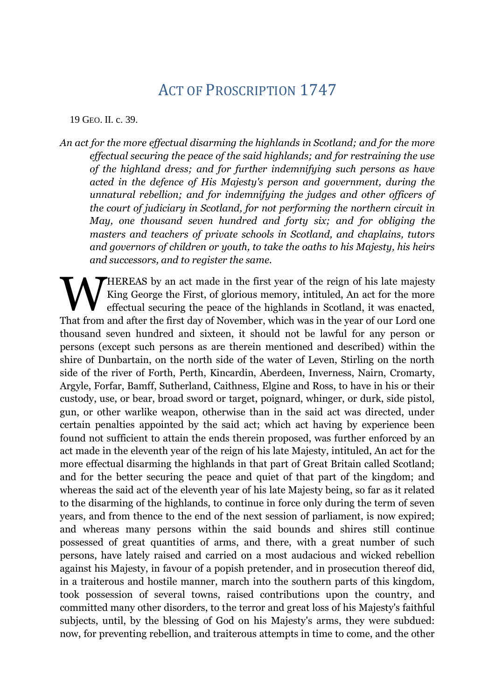## ACT OF PROSCRIPTION 1747

19 GEO. II. c. 39.

*An act for the more effectual disarming the highlands in Scotland; and for the more effectual securing the peace of the said highlands; and for restraining the use of the highland dress; and for further indemnifying such persons as have acted in the defence of His Majesty's person and government, during the unnatural rebellion; and for indemnifying the judges and other officers of the court of judiciary in Scotland, for not performing the northern circuit in May, one thousand seven hundred and forty six; and for obliging the masters and teachers of private schools in Scotland, and chaplains, tutors and governors of children or youth, to take the oaths to his Majesty, his heirs and successors, and to register the same.*

**THEREAS** by an act made in the first year of the reign of his late majesty King George the First, of glorious memory, intituled, An act for the more effectual securing the peace of the highlands in Scotland, it was enacted, That from and after the first day of November, which was in the year of our Lord one thousand seven hundred and sixteen, it should not be lawful for any person or persons (except such persons as are therein mentioned and described) within the shire of Dunbartain, on the north side of the water of Leven, Stirling on the north side of the river of Forth, Perth, Kincardin, Aberdeen, Inverness, Nairn, Cromarty, Argyle, Forfar, Bamff, Sutherland, Caithness, Elgine and Ross, to have in his or their custody, use, or bear, broad sword or target, poignard, whinger, or durk, side pistol, gun, or other warlike weapon, otherwise than in the said act was directed, under certain penalties appointed by the said act; which act having by experience been found not sufficient to attain the ends therein proposed, was further enforced by an act made in the eleventh year of the reign of his late Majesty, intituled, An act for the more effectual disarming the highlands in that part of Great Britain called Scotland; and for the better securing the peace and quiet of that part of the kingdom; and whereas the said act of the eleventh year of his late Majesty being, so far as it related to the disarming of the highlands, to continue in force only during the term of seven years, and from thence to the end of the next session of parliament, is now expired; and whereas many persons within the said bounds and shires still continue possessed of great quantities of arms, and there, with a great number of such persons, have lately raised and carried on a most audacious and wicked rebellion against his Majesty, in favour of a popish pretender, and in prosecution thereof did, in a traiterous and hostile manner, march into the southern parts of this kingdom, took possession of several towns, raised contributions upon the country, and committed many other disorders, to the terror and great loss of his Majesty's faithful subjects, until, by the blessing of God on his Majesty's arms, they were subdued: now, for preventing rebellion, and traiterous attempts in time to come, and the other W<br>That from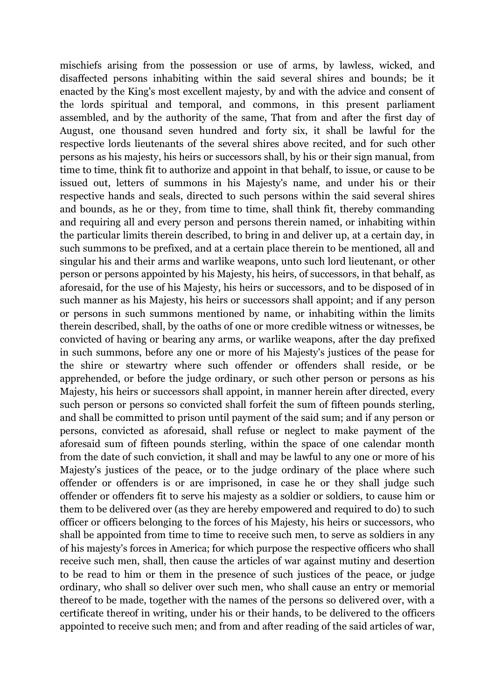mischiefs arising from the possession or use of arms, by lawless, wicked, and disaffected persons inhabiting within the said several shires and bounds; be it enacted by the King's most excellent majesty, by and with the advice and consent of the lords spiritual and temporal, and commons, in this present parliament assembled, and by the authority of the same, That from and after the first day of August, one thousand seven hundred and forty six, it shall be lawful for the respective lords lieutenants of the several shires above recited, and for such other persons as his majesty, his heirs or successors shall, by his or their sign manual, from time to time, think fit to authorize and appoint in that behalf, to issue, or cause to be issued out, letters of summons in his Majesty's name, and under his or their respective hands and seals, directed to such persons within the said several shires and bounds, as he or they, from time to time, shall think fit, thereby commanding and requiring all and every person and persons therein named, or inhabiting within the particular limits therein described, to bring in and deliver up, at a certain day, in such summons to be prefixed, and at a certain place therein to be mentioned, all and singular his and their arms and warlike weapons, unto such lord lieutenant, or other person or persons appointed by his Majesty, his heirs, of successors, in that behalf, as aforesaid, for the use of his Majesty, his heirs or successors, and to be disposed of in such manner as his Majesty, his heirs or successors shall appoint; and if any person or persons in such summons mentioned by name, or inhabiting within the limits therein described, shall, by the oaths of one or more credible witness or witnesses, be convicted of having or bearing any arms, or warlike weapons, after the day prefixed in such summons, before any one or more of his Majesty's justices of the pease for the shire or stewartry where such offender or offenders shall reside, or be apprehended, or before the judge ordinary, or such other person or persons as his Majesty, his heirs or successors shall appoint, in manner herein after directed, every such person or persons so convicted shall forfeit the sum of fifteen pounds sterling, and shall be committed to prison until payment of the said sum; and if any person or persons, convicted as aforesaid, shall refuse or neglect to make payment of the aforesaid sum of fifteen pounds sterling, within the space of one calendar month from the date of such conviction, it shall and may be lawful to any one or more of his Majesty's justices of the peace, or to the judge ordinary of the place where such offender or offenders is or are imprisoned, in case he or they shall judge such offender or offenders fit to serve his majesty as a soldier or soldiers, to cause him or them to be delivered over (as they are hereby empowered and required to do) to such officer or officers belonging to the forces of his Majesty, his heirs or successors, who shall be appointed from time to time to receive such men, to serve as soldiers in any of his majesty's forces in America; for which purpose the respective officers who shall receive such men, shall, then cause the articles of war against mutiny and desertion to be read to him or them in the presence of such justices of the peace, or judge ordinary, who shall so deliver over such men, who shall cause an entry or memorial thereof to be made, together with the names of the persons so delivered over, with a certificate thereof in writing, under his or their hands, to be delivered to the officers appointed to receive such men; and from and after reading of the said articles of war,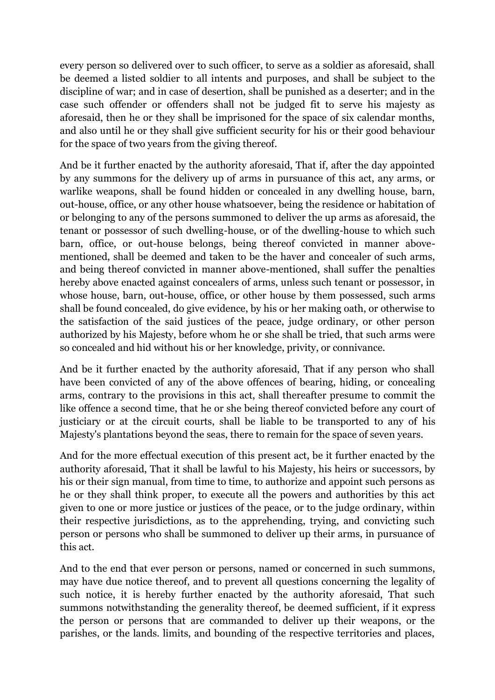every person so delivered over to such officer, to serve as a soldier as aforesaid, shall be deemed a listed soldier to all intents and purposes, and shall be subject to the discipline of war; and in case of desertion, shall be punished as a deserter; and in the case such offender or offenders shall not be judged fit to serve his majesty as aforesaid, then he or they shall be imprisoned for the space of six calendar months, and also until he or they shall give sufficient security for his or their good behaviour for the space of two years from the giving thereof.

And be it further enacted by the authority aforesaid, That if, after the day appointed by any summons for the delivery up of arms in pursuance of this act, any arms, or warlike weapons, shall be found hidden or concealed in any dwelling house, barn, out-house, office, or any other house whatsoever, being the residence or habitation of or belonging to any of the persons summoned to deliver the up arms as aforesaid, the tenant or possessor of such dwelling-house, or of the dwelling-house to which such barn, office, or out-house belongs, being thereof convicted in manner abovementioned, shall be deemed and taken to be the haver and concealer of such arms, and being thereof convicted in manner above-mentioned, shall suffer the penalties hereby above enacted against concealers of arms, unless such tenant or possessor, in whose house, barn, out-house, office, or other house by them possessed, such arms shall be found concealed, do give evidence, by his or her making oath, or otherwise to the satisfaction of the said justices of the peace, judge ordinary, or other person authorized by his Majesty, before whom he or she shall be tried, that such arms were so concealed and hid without his or her knowledge, privity, or connivance.

And be it further enacted by the authority aforesaid, That if any person who shall have been convicted of any of the above offences of bearing, hiding, or concealing arms, contrary to the provisions in this act, shall thereafter presume to commit the like offence a second time, that he or she being thereof convicted before any court of justiciary or at the circuit courts, shall be liable to be transported to any of his Majesty's plantations beyond the seas, there to remain for the space of seven years.

And for the more effectual execution of this present act, be it further enacted by the authority aforesaid, That it shall be lawful to his Majesty, his heirs or successors, by his or their sign manual, from time to time, to authorize and appoint such persons as he or they shall think proper, to execute all the powers and authorities by this act given to one or more justice or justices of the peace, or to the judge ordinary, within their respective jurisdictions, as to the apprehending, trying, and convicting such person or persons who shall be summoned to deliver up their arms, in pursuance of this act.

And to the end that ever person or persons, named or concerned in such summons, may have due notice thereof, and to prevent all questions concerning the legality of such notice, it is hereby further enacted by the authority aforesaid, That such summons notwithstanding the generality thereof, be deemed sufficient, if it express the person or persons that are commanded to deliver up their weapons, or the parishes, or the lands. limits, and bounding of the respective territories and places,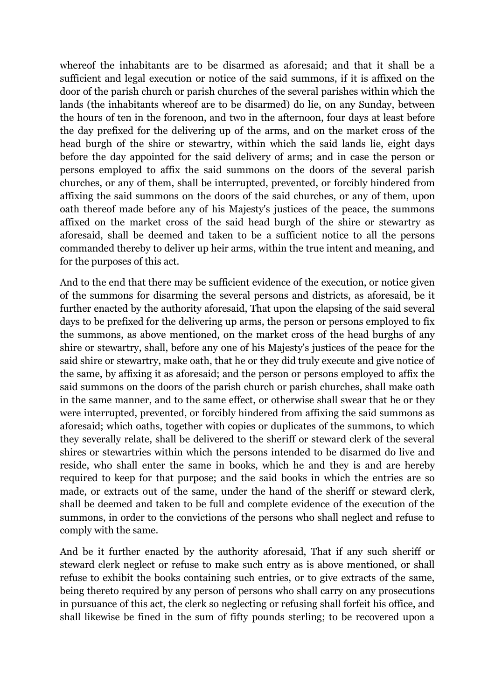whereof the inhabitants are to be disarmed as aforesaid; and that it shall be a sufficient and legal execution or notice of the said summons, if it is affixed on the door of the parish church or parish churches of the several parishes within which the lands (the inhabitants whereof are to be disarmed) do lie, on any Sunday, between the hours of ten in the forenoon, and two in the afternoon, four days at least before the day prefixed for the delivering up of the arms, and on the market cross of the head burgh of the shire or stewartry, within which the said lands lie, eight days before the day appointed for the said delivery of arms; and in case the person or persons employed to affix the said summons on the doors of the several parish churches, or any of them, shall be interrupted, prevented, or forcibly hindered from affixing the said summons on the doors of the said churches, or any of them, upon oath thereof made before any of his Majesty's justices of the peace, the summons affixed on the market cross of the said head burgh of the shire or stewartry as aforesaid, shall be deemed and taken to be a sufficient notice to all the persons commanded thereby to deliver up heir arms, within the true intent and meaning, and for the purposes of this act.

And to the end that there may be sufficient evidence of the execution, or notice given of the summons for disarming the several persons and districts, as aforesaid, be it further enacted by the authority aforesaid, That upon the elapsing of the said several days to be prefixed for the delivering up arms, the person or persons employed to fix the summons, as above mentioned, on the market cross of the head burghs of any shire or stewartry, shall, before any one of his Majesty's justices of the peace for the said shire or stewartry, make oath, that he or they did truly execute and give notice of the same, by affixing it as aforesaid; and the person or persons employed to affix the said summons on the doors of the parish church or parish churches, shall make oath in the same manner, and to the same effect, or otherwise shall swear that he or they were interrupted, prevented, or forcibly hindered from affixing the said summons as aforesaid; which oaths, together with copies or duplicates of the summons, to which they severally relate, shall be delivered to the sheriff or steward clerk of the several shires or stewartries within which the persons intended to be disarmed do live and reside, who shall enter the same in books, which he and they is and are hereby required to keep for that purpose; and the said books in which the entries are so made, or extracts out of the same, under the hand of the sheriff or steward clerk, shall be deemed and taken to be full and complete evidence of the execution of the summons, in order to the convictions of the persons who shall neglect and refuse to comply with the same.

And be it further enacted by the authority aforesaid, That if any such sheriff or steward clerk neglect or refuse to make such entry as is above mentioned, or shall refuse to exhibit the books containing such entries, or to give extracts of the same, being thereto required by any person of persons who shall carry on any prosecutions in pursuance of this act, the clerk so neglecting or refusing shall forfeit his office, and shall likewise be fined in the sum of fifty pounds sterling; to be recovered upon a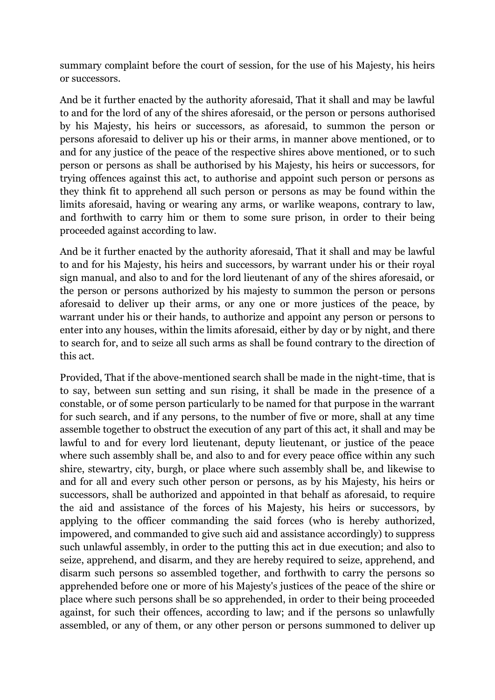summary complaint before the court of session, for the use of his Majesty, his heirs or successors.

And be it further enacted by the authority aforesaid, That it shall and may be lawful to and for the lord of any of the shires aforesaid, or the person or persons authorised by his Majesty, his heirs or successors, as aforesaid, to summon the person or persons aforesaid to deliver up his or their arms, in manner above mentioned, or to and for any justice of the peace of the respective shires above mentioned, or to such person or persons as shall be authorised by his Majesty, his heirs or successors, for trying offences against this act, to authorise and appoint such person or persons as they think fit to apprehend all such person or persons as may be found within the limits aforesaid, having or wearing any arms, or warlike weapons, contrary to law, and forthwith to carry him or them to some sure prison, in order to their being proceeded against according to law.

And be it further enacted by the authority aforesaid, That it shall and may be lawful to and for his Majesty, his heirs and successors, by warrant under his or their royal sign manual, and also to and for the lord lieutenant of any of the shires aforesaid, or the person or persons authorized by his majesty to summon the person or persons aforesaid to deliver up their arms, or any one or more justices of the peace, by warrant under his or their hands, to authorize and appoint any person or persons to enter into any houses, within the limits aforesaid, either by day or by night, and there to search for, and to seize all such arms as shall be found contrary to the direction of this act.

Provided, That if the above-mentioned search shall be made in the night-time, that is to say, between sun setting and sun rising, it shall be made in the presence of a constable, or of some person particularly to be named for that purpose in the warrant for such search, and if any persons, to the number of five or more, shall at any time assemble together to obstruct the execution of any part of this act, it shall and may be lawful to and for every lord lieutenant, deputy lieutenant, or justice of the peace where such assembly shall be, and also to and for every peace office within any such shire, stewartry, city, burgh, or place where such assembly shall be, and likewise to and for all and every such other person or persons, as by his Majesty, his heirs or successors, shall be authorized and appointed in that behalf as aforesaid, to require the aid and assistance of the forces of his Majesty, his heirs or successors, by applying to the officer commanding the said forces (who is hereby authorized, impowered, and commanded to give such aid and assistance accordingly) to suppress such unlawful assembly, in order to the putting this act in due execution; and also to seize, apprehend, and disarm, and they are hereby required to seize, apprehend, and disarm such persons so assembled together, and forthwith to carry the persons so apprehended before one or more of his Majesty's justices of the peace of the shire or place where such persons shall be so apprehended, in order to their being proceeded against, for such their offences, according to law; and if the persons so unlawfully assembled, or any of them, or any other person or persons summoned to deliver up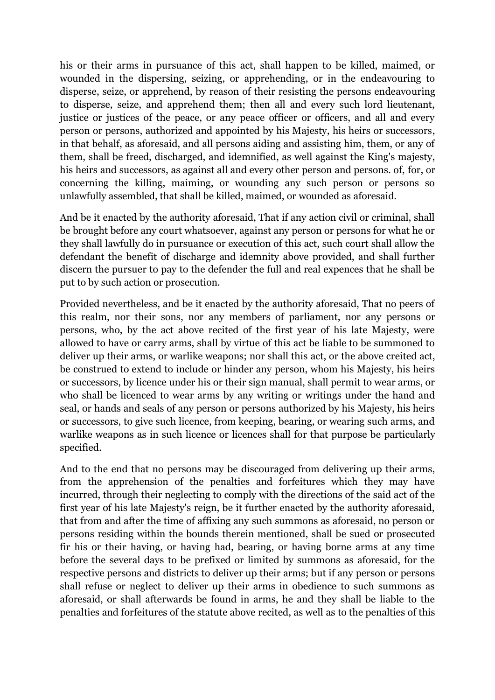his or their arms in pursuance of this act, shall happen to be killed, maimed, or wounded in the dispersing, seizing, or apprehending, or in the endeavouring to disperse, seize, or apprehend, by reason of their resisting the persons endeavouring to disperse, seize, and apprehend them; then all and every such lord lieutenant, justice or justices of the peace, or any peace officer or officers, and all and every person or persons, authorized and appointed by his Majesty, his heirs or successors, in that behalf, as aforesaid, and all persons aiding and assisting him, them, or any of them, shall be freed, discharged, and idemnified, as well against the King's majesty, his heirs and successors, as against all and every other person and persons. of, for, or concerning the killing, maiming, or wounding any such person or persons so unlawfully assembled, that shall be killed, maimed, or wounded as aforesaid.

And be it enacted by the authority aforesaid, That if any action civil or criminal, shall be brought before any court whatsoever, against any person or persons for what he or they shall lawfully do in pursuance or execution of this act, such court shall allow the defendant the benefit of discharge and idemnity above provided, and shall further discern the pursuer to pay to the defender the full and real expences that he shall be put to by such action or prosecution.

Provided nevertheless, and be it enacted by the authority aforesaid, That no peers of this realm, nor their sons, nor any members of parliament, nor any persons or persons, who, by the act above recited of the first year of his late Majesty, were allowed to have or carry arms, shall by virtue of this act be liable to be summoned to deliver up their arms, or warlike weapons; nor shall this act, or the above creited act, be construed to extend to include or hinder any person, whom his Majesty, his heirs or successors, by licence under his or their sign manual, shall permit to wear arms, or who shall be licenced to wear arms by any writing or writings under the hand and seal, or hands and seals of any person or persons authorized by his Majesty, his heirs or successors, to give such licence, from keeping, bearing, or wearing such arms, and warlike weapons as in such licence or licences shall for that purpose be particularly specified.

And to the end that no persons may be discouraged from delivering up their arms, from the apprehension of the penalties and forfeitures which they may have incurred, through their neglecting to comply with the directions of the said act of the first year of his late Majesty's reign, be it further enacted by the authority aforesaid, that from and after the time of affixing any such summons as aforesaid, no person or persons residing within the bounds therein mentioned, shall be sued or prosecuted fir his or their having, or having had, bearing, or having borne arms at any time before the several days to be prefixed or limited by summons as aforesaid, for the respective persons and districts to deliver up their arms; but if any person or persons shall refuse or neglect to deliver up their arms in obedience to such summons as aforesaid, or shall afterwards be found in arms, he and they shall be liable to the penalties and forfeitures of the statute above recited, as well as to the penalties of this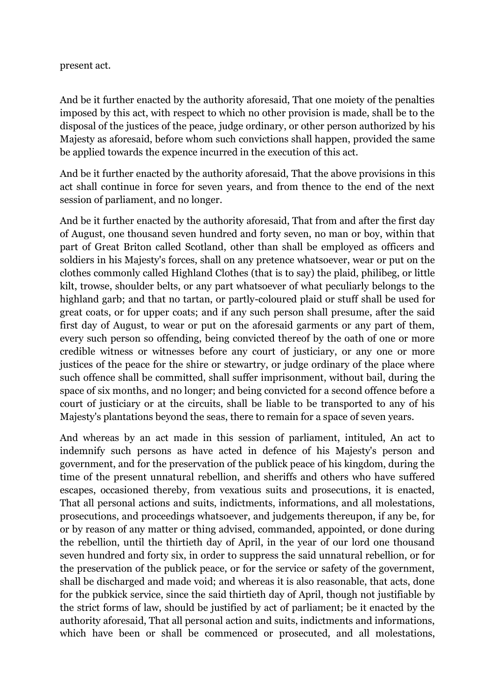## present act.

And be it further enacted by the authority aforesaid, That one moiety of the penalties imposed by this act, with respect to which no other provision is made, shall be to the disposal of the justices of the peace, judge ordinary, or other person authorized by his Majesty as aforesaid, before whom such convictions shall happen, provided the same be applied towards the expence incurred in the execution of this act.

And be it further enacted by the authority aforesaid, That the above provisions in this act shall continue in force for seven years, and from thence to the end of the next session of parliament, and no longer.

And be it further enacted by the authority aforesaid, That from and after the first day of August, one thousand seven hundred and forty seven, no man or boy, within that part of Great Briton called Scotland, other than shall be employed as officers and soldiers in his Majesty's forces, shall on any pretence whatsoever, wear or put on the clothes commonly called Highland Clothes (that is to say) the plaid, philibeg, or little kilt, trowse, shoulder belts, or any part whatsoever of what peculiarly belongs to the highland garb; and that no tartan, or partly-coloured plaid or stuff shall be used for great coats, or for upper coats; and if any such person shall presume, after the said first day of August, to wear or put on the aforesaid garments or any part of them, every such person so offending, being convicted thereof by the oath of one or more credible witness or witnesses before any court of justiciary, or any one or more justices of the peace for the shire or stewartry, or judge ordinary of the place where such offence shall be committed, shall suffer imprisonment, without bail, during the space of six months, and no longer; and being convicted for a second offence before a court of justiciary or at the circuits, shall be liable to be transported to any of his Majesty's plantations beyond the seas, there to remain for a space of seven years.

And whereas by an act made in this session of parliament, intituled, An act to indemnify such persons as have acted in defence of his Majesty's person and government, and for the preservation of the publick peace of his kingdom, during the time of the present unnatural rebellion, and sheriffs and others who have suffered escapes, occasioned thereby, from vexatious suits and prosecutions, it is enacted, That all personal actions and suits, indictments, informations, and all molestations, prosecutions, and proceedings whatsoever, and judgements thereupon, if any be, for or by reason of any matter or thing advised, commanded, appointed, or done during the rebellion, until the thirtieth day of April, in the year of our lord one thousand seven hundred and forty six, in order to suppress the said unnatural rebellion, or for the preservation of the publick peace, or for the service or safety of the government, shall be discharged and made void; and whereas it is also reasonable, that acts, done for the pubkick service, since the said thirtieth day of April, though not justifiable by the strict forms of law, should be justified by act of parliament; be it enacted by the authority aforesaid, That all personal action and suits, indictments and informations, which have been or shall be commenced or prosecuted, and all molestations,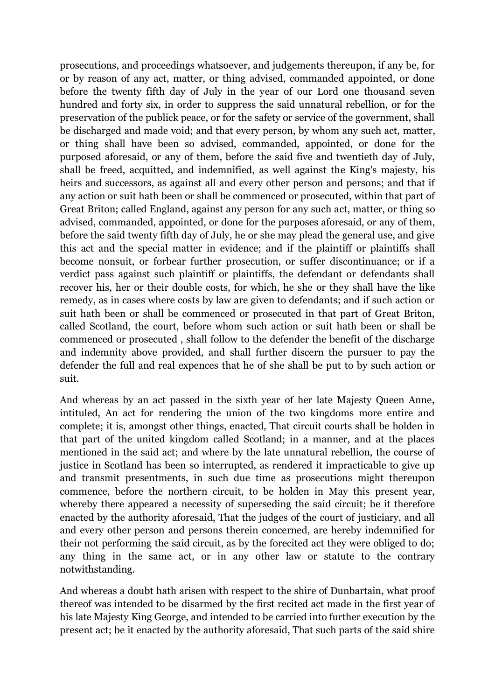prosecutions, and proceedings whatsoever, and judgements thereupon, if any be, for or by reason of any act, matter, or thing advised, commanded appointed, or done before the twenty fifth day of July in the year of our Lord one thousand seven hundred and forty six, in order to suppress the said unnatural rebellion, or for the preservation of the publick peace, or for the safety or service of the government, shall be discharged and made void; and that every person, by whom any such act, matter, or thing shall have been so advised, commanded, appointed, or done for the purposed aforesaid, or any of them, before the said five and twentieth day of July, shall be freed, acquitted, and indemnified, as well against the King's majesty, his heirs and successors, as against all and every other person and persons; and that if any action or suit hath been or shall be commenced or prosecuted, within that part of Great Briton; called England, against any person for any such act, matter, or thing so advised, commanded, appointed, or done for the purposes aforesaid, or any of them, before the said twenty fifth day of July, he or she may plead the general use, and give this act and the special matter in evidence; and if the plaintiff or plaintiffs shall become nonsuit, or forbear further prosecution, or suffer discontinuance; or if a verdict pass against such plaintiff or plaintiffs, the defendant or defendants shall recover his, her or their double costs, for which, he she or they shall have the like remedy, as in cases where costs by law are given to defendants; and if such action or suit hath been or shall be commenced or prosecuted in that part of Great Briton, called Scotland, the court, before whom such action or suit hath been or shall be commenced or prosecuted , shall follow to the defender the benefit of the discharge and indemnity above provided, and shall further discern the pursuer to pay the defender the full and real expences that he of she shall be put to by such action or suit.

And whereas by an act passed in the sixth year of her late Majesty Queen Anne, intituled, An act for rendering the union of the two kingdoms more entire and complete; it is, amongst other things, enacted, That circuit courts shall be holden in that part of the united kingdom called Scotland; in a manner, and at the places mentioned in the said act; and where by the late unnatural rebellion, the course of justice in Scotland has been so interrupted, as rendered it impracticable to give up and transmit presentments, in such due time as prosecutions might thereupon commence, before the northern circuit, to be holden in May this present year, whereby there appeared a necessity of superseding the said circuit; be it therefore enacted by the authority aforesaid, That the judges of the court of justiciary, and all and every other person and persons therein concerned, are hereby indemnified for their not performing the said circuit, as by the forecited act they were obliged to do; any thing in the same act, or in any other law or statute to the contrary notwithstanding.

And whereas a doubt hath arisen with respect to the shire of Dunbartain, what proof thereof was intended to be disarmed by the first recited act made in the first year of his late Majesty King George, and intended to be carried into further execution by the present act; be it enacted by the authority aforesaid, That such parts of the said shire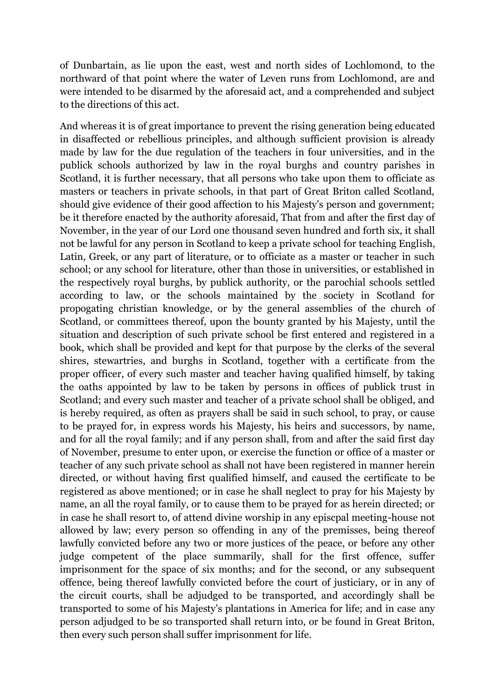of Dunbartain, as lie upon the east, west and north sides of Lochlomond, to the northward of that point where the water of Leven runs from Lochlomond, are and were intended to be disarmed by the aforesaid act, and a comprehended and subject to the directions of this act.

And whereas it is of great importance to prevent the rising generation being educated in disaffected or rebellious principles, and although sufficient provision is already made by law for the due regulation of the teachers in four universities, and in the publick schools authorized by law in the royal burghs and country parishes in Scotland, it is further necessary, that all persons who take upon them to officiate as masters or teachers in private schools, in that part of Great Briton called Scotland, should give evidence of their good affection to his Majesty's person and government; be it therefore enacted by the authority aforesaid, That from and after the first day of November, in the year of our Lord one thousand seven hundred and forth six, it shall not be lawful for any person in Scotland to keep a private school for teaching English, Latin, Greek, or any part of literature, or to officiate as a master or teacher in such school; or any school for literature, other than those in universities, or established in the respectively royal burghs, by publick authority, or the parochial schools settled according to law, or the schools maintained by the society in Scotland for propogating christian knowledge, or by the general assemblies of the church of Scotland, or committees thereof, upon the bounty granted by his Majesty, until the situation and description of such private school be first entered and registered in a book, which shall be provided and kept for that purpose by the clerks of the several shires, stewartries, and burghs in Scotland, together with a certificate from the proper officer, of every such master and teacher having qualified himself, by taking the oaths appointed by law to be taken by persons in offices of publick trust in Scotland; and every such master and teacher of a private school shall be obliged, and is hereby required, as often as prayers shall be said in such school, to pray, or cause to be prayed for, in express words his Majesty, his heirs and successors, by name, and for all the royal family; and if any person shall, from and after the said first day of November, presume to enter upon, or exercise the function or office of a master or teacher of any such private school as shall not have been registered in manner herein directed, or without having first qualified himself, and caused the certificate to be registered as above mentioned; or in case he shall neglect to pray for his Majesty by name, an all the royal family, or to cause them to be prayed for as herein directed; or in case he shall resort to, of attend divine worship in any episcpal meeting-house not allowed by law; every person so offending in any of the premisses, being thereof lawfully convicted before any two or more justices of the peace, or before any other judge competent of the place summarily, shall for the first offence, suffer imprisonment for the space of six months; and for the second, or any subsequent offence, being thereof lawfully convicted before the court of justiciary, or in any of the circuit courts, shall be adjudged to be transported, and accordingly shall be transported to some of his Majesty's plantations in America for life; and in case any person adjudged to be so transported shall return into, or be found in Great Briton, then every such person shall suffer imprisonment for life.